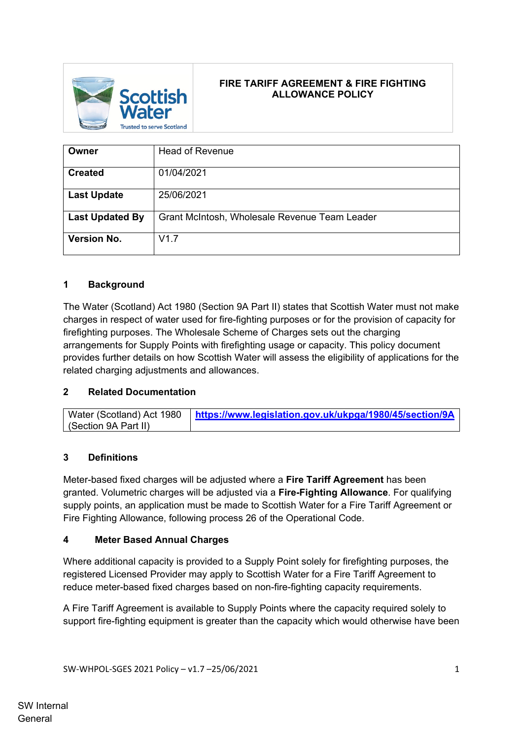

# **FIRE TARIFF AGREEMENT & FIRE FIGHTING ALLOWANCE POLICY**

| Owner                  | <b>Head of Revenue</b>                        |
|------------------------|-----------------------------------------------|
| <b>Created</b>         | 01/04/2021                                    |
| <b>Last Update</b>     | 25/06/2021                                    |
| <b>Last Updated By</b> | Grant McIntosh, Wholesale Revenue Team Leader |
| <b>Version No.</b>     | V1.7                                          |

## **1 Background**

The Water (Scotland) Act 1980 (Section 9A Part II) states that Scottish Water must not make charges in respect of water used for fire-fighting purposes or for the provision of capacity for firefighting purposes. The Wholesale Scheme of Charges sets out the charging arrangements for Supply Points with firefighting usage or capacity. This policy document provides further details on how Scottish Water will assess the eligibility of applications for the related charging adjustments and allowances.

### **2 Related Documentation**

| Water (Scotland) Act 1980 | https://www.legislation.gov.uk/ukpga/1980/45/section/9A |
|---------------------------|---------------------------------------------------------|
| Section 9A Part II)       |                                                         |

### **3 Definitions**

Meter-based fixed charges will be adjusted where a **Fire Tariff Agreement** has been granted. Volumetric charges will be adjusted via a **Fire-Fighting Allowance**. For qualifying supply points, an application must be made to Scottish Water for a Fire Tariff Agreement or Fire Fighting Allowance, following process 26 of the Operational Code.

### **4 Meter Based Annual Charges**

Where additional capacity is provided to a Supply Point solely for firefighting purposes, the registered Licensed Provider may apply to Scottish Water for a Fire Tariff Agreement to reduce meter-based fixed charges based on non-fire-fighting capacity requirements.

A Fire Tariff Agreement is available to Supply Points where the capacity required solely to support fire-fighting equipment is greater than the capacity which would otherwise have been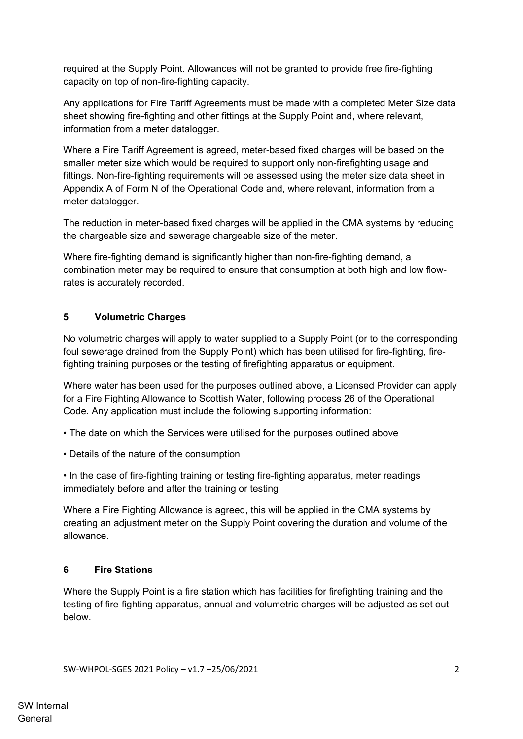required at the Supply Point. Allowances will not be granted to provide free fire-fighting capacity on top of non-fire-fighting capacity.

Any applications for Fire Tariff Agreements must be made with a completed Meter Size data sheet showing fire-fighting and other fittings at the Supply Point and, where relevant, information from a meter datalogger.

Where a Fire Tariff Agreement is agreed, meter-based fixed charges will be based on the smaller meter size which would be required to support only non-firefighting usage and fittings. Non-fire-fighting requirements will be assessed using the meter size data sheet in Appendix A of Form N of the Operational Code and, where relevant, information from a meter datalogger.

The reduction in meter-based fixed charges will be applied in the CMA systems by reducing the chargeable size and sewerage chargeable size of the meter.

Where fire-fighting demand is significantly higher than non-fire-fighting demand, a combination meter may be required to ensure that consumption at both high and low flowrates is accurately recorded.

## **5 Volumetric Charges**

No volumetric charges will apply to water supplied to a Supply Point (or to the corresponding foul sewerage drained from the Supply Point) which has been utilised for fire-fighting, firefighting training purposes or the testing of firefighting apparatus or equipment.

Where water has been used for the purposes outlined above, a Licensed Provider can apply for a Fire Fighting Allowance to Scottish Water, following process 26 of the Operational Code. Any application must include the following supporting information:

• The date on which the Services were utilised for the purposes outlined above

• Details of the nature of the consumption

• In the case of fire-fighting training or testing fire-fighting apparatus, meter readings immediately before and after the training or testing

Where a Fire Fighting Allowance is agreed, this will be applied in the CMA systems by creating an adjustment meter on the Supply Point covering the duration and volume of the allowance.

### **6 Fire Stations**

Where the Supply Point is a fire station which has facilities for firefighting training and the testing of fire-fighting apparatus, annual and volumetric charges will be adjusted as set out below.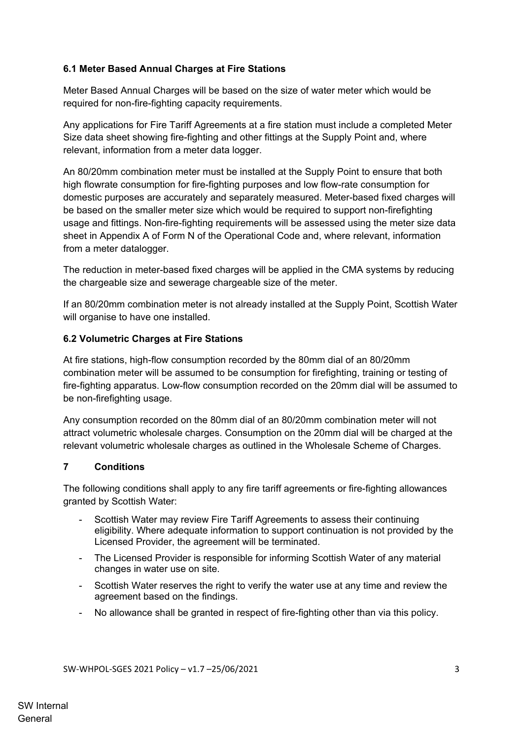### **6.1 Meter Based Annual Charges at Fire Stations**

Meter Based Annual Charges will be based on the size of water meter which would be required for non-fire-fighting capacity requirements.

Any applications for Fire Tariff Agreements at a fire station must include a completed Meter Size data sheet showing fire-fighting and other fittings at the Supply Point and, where relevant, information from a meter data logger.

An 80/20mm combination meter must be installed at the Supply Point to ensure that both high flowrate consumption for fire-fighting purposes and low flow-rate consumption for domestic purposes are accurately and separately measured. Meter-based fixed charges will be based on the smaller meter size which would be required to support non-firefighting usage and fittings. Non-fire-fighting requirements will be assessed using the meter size data sheet in Appendix A of Form N of the Operational Code and, where relevant, information from a meter datalogger.

The reduction in meter-based fixed charges will be applied in the CMA systems by reducing the chargeable size and sewerage chargeable size of the meter.

If an 80/20mm combination meter is not already installed at the Supply Point, Scottish Water will organise to have one installed.

### **6.2 Volumetric Charges at Fire Stations**

At fire stations, high-flow consumption recorded by the 80mm dial of an 80/20mm combination meter will be assumed to be consumption for firefighting, training or testing of fire-fighting apparatus. Low-flow consumption recorded on the 20mm dial will be assumed to be non-firefighting usage.

Any consumption recorded on the 80mm dial of an 80/20mm combination meter will not attract volumetric wholesale charges. Consumption on the 20mm dial will be charged at the relevant volumetric wholesale charges as outlined in the Wholesale Scheme of Charges.

### **7 Conditions**

The following conditions shall apply to any fire tariff agreements or fire-fighting allowances granted by Scottish Water:

- Scottish Water may review Fire Tariff Agreements to assess their continuing eligibility. Where adequate information to support continuation is not provided by the Licensed Provider, the agreement will be terminated.
- The Licensed Provider is responsible for informing Scottish Water of any material changes in water use on site.
- Scottish Water reserves the right to verify the water use at any time and review the agreement based on the findings.
- No allowance shall be granted in respect of fire-fighting other than via this policy.